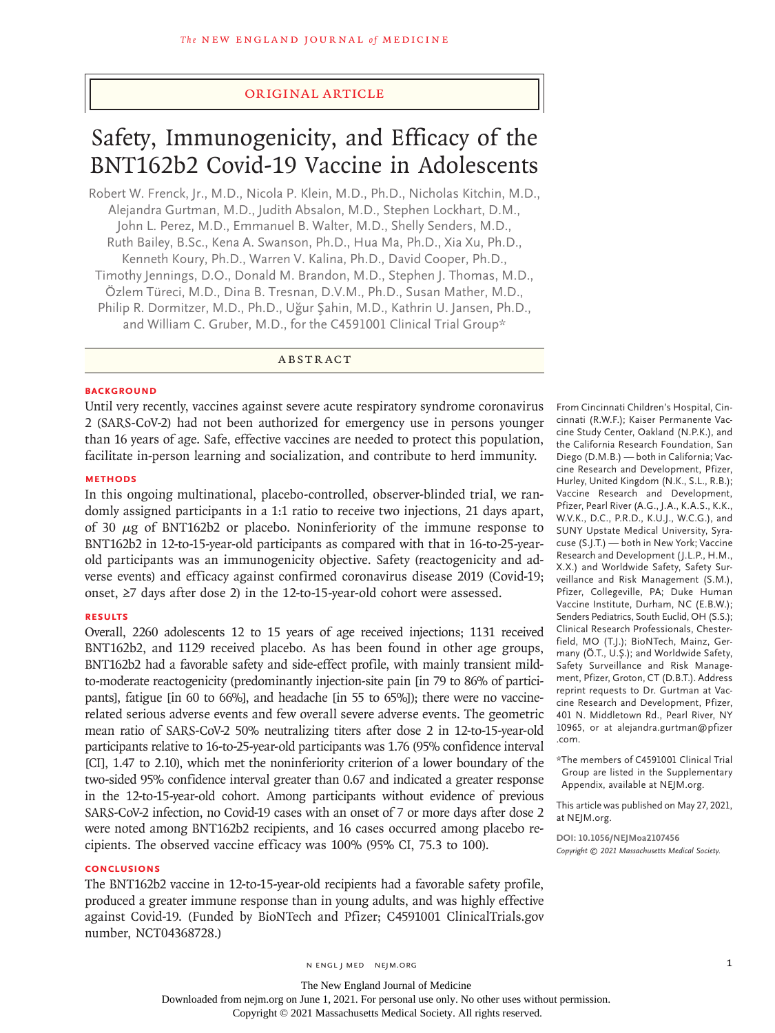# Original Article

# Safety, Immunogenicity, and Efficacy of the BNT162b2 Covid-19 Vaccine in Adolescents

Robert W. Frenck, Jr., M.D., Nicola P. Klein, M.D., Ph.D., Nicholas Kitchin, M.D., Alejandra Gurtman, M.D., Judith Absalon, M.D., Stephen Lockhart, D.M., John L. Perez, M.D., Emmanuel B. Walter, M.D., Shelly Senders, M.D., Ruth Bailey, B.Sc., Kena A. Swanson, Ph.D., Hua Ma, Ph.D., Xia Xu, Ph.D., Kenneth Koury, Ph.D., Warren V. Kalina, Ph.D., David Cooper, Ph.D., Timothy Jennings, D.O., Donald M. Brandon, M.D., Stephen J. Thomas, M.D., Özlem Türeci, M.D., Dina B. Tresnan, D.V.M., Ph.D., Susan Mather, M.D., Philip R. Dormitzer, M.D., Ph.D., Uğur Şahin, M.D., Kathrin U. Jansen, Ph.D., and William C. Gruber, M.D., for the C4591001 Clinical Trial Group\*

ABSTRACT

## **BACKGROUND**

Until very recently, vaccines against severe acute respiratory syndrome coronavirus 2 (SARS-CoV-2) had not been authorized for emergency use in persons younger than 16 years of age. Safe, effective vaccines are needed to protect this population, facilitate in-person learning and socialization, and contribute to herd immunity.

# **METHODS**

In this ongoing multinational, placebo-controlled, observer-blinded trial, we randomly assigned participants in a 1:1 ratio to receive two injections, 21 days apart, of 30  $\mu$ g of BNT162b2 or placebo. Noninferiority of the immune response to BNT162b2 in 12-to-15-year-old participants as compared with that in 16-to-25-yearold participants was an immunogenicity objective. Safety (reactogenicity and adverse events) and efficacy against confirmed coronavirus disease 2019 (Covid-19; onset, ≥7 days after dose 2) in the 12-to-15-year-old cohort were assessed.

## **RESULTS**

Overall, 2260 adolescents 12 to 15 years of age received injections; 1131 received BNT162b2, and 1129 received placebo. As has been found in other age groups, BNT162b2 had a favorable safety and side-effect profile, with mainly transient mildto-moderate reactogenicity (predominantly injection-site pain [in 79 to 86% of participants], fatigue [in 60 to 66%], and headache [in 55 to 65%]); there were no vaccinerelated serious adverse events and few overall severe adverse events. The geometric mean ratio of SARS-CoV-2 50% neutralizing titers after dose 2 in 12-to-15-year-old participants relative to 16-to-25-year-old participants was 1.76 (95% confidence interval [CI], 1.47 to 2.10), which met the noninferiority criterion of a lower boundary of the two-sided 95% confidence interval greater than 0.67 and indicated a greater response in the 12-to-15-year-old cohort. Among participants without evidence of previous SARS-CoV-2 infection, no Covid-19 cases with an onset of 7 or more days after dose 2 were noted among BNT162b2 recipients, and 16 cases occurred among placebo recipients. The observed vaccine efficacy was 100% (95% CI, 75.3 to 100).

# **CONCLUSIONS**

The BNT162b2 vaccine in 12-to-15-year-old recipients had a favorable safety profile, produced a greater immune response than in young adults, and was highly effective against Covid-19. (Funded by BioNTech and Pfizer; C4591001 ClinicalTrials.gov number, NCT04368728.)

From Cincinnati Children's Hospital, Cincinnati (R.W.F.); Kaiser Permanente Vaccine Study Center, Oakland (N.P.K.), and the California Research Foundation, San Diego (D.M.B.) — both in California; Vaccine Research and Development, Pfizer, Hurley, United Kingdom (N.K., S.L., R.B.); Vaccine Research and Development, Pfizer, Pearl River (A.G., J.A., K.A.S., K.K., W.V.K., D.C., P.R.D., K.U.J., W.C.G.), and SUNY Upstate Medical University, Syracuse (S.J.T.) — both in New York; Vaccine Research and Development (J.L.P., H.M., X.X.) and Worldwide Safety, Safety Surveillance and Risk Management (S.M.), Pfizer, Collegeville, PA; Duke Human Vaccine Institute, Durham, NC (E.B.W.); Senders Pediatrics, South Euclid, OH (S.S.); Clinical Research Professionals, Chesterfield, MO (T.J.); BioNTech, Mainz, Germany (Ö.T., U.Ş.); and Worldwide Safety, Safety Surveillance and Risk Management, Pfizer, Groton, CT (D.B.T.). Address reprint requests to Dr. Gurtman at Vaccine Research and Development, Pfizer, 401 N. Middletown Rd., Pearl River, NY 10965, or at alejandra.gurtman@pfizer .com.

\*The members of C4591001 Clinical Trial Group are listed in the Supplementary Appendix, available at NEJM.org.

This article was published on May 27, 2021, at NEJM.org.

**DOI: 10.1056/NEJMoa2107456** *Copyright © 2021 Massachusetts Medical Society.*

Downloaded from nejm.org on June 1, 2021. For personal use only. No other uses without permission.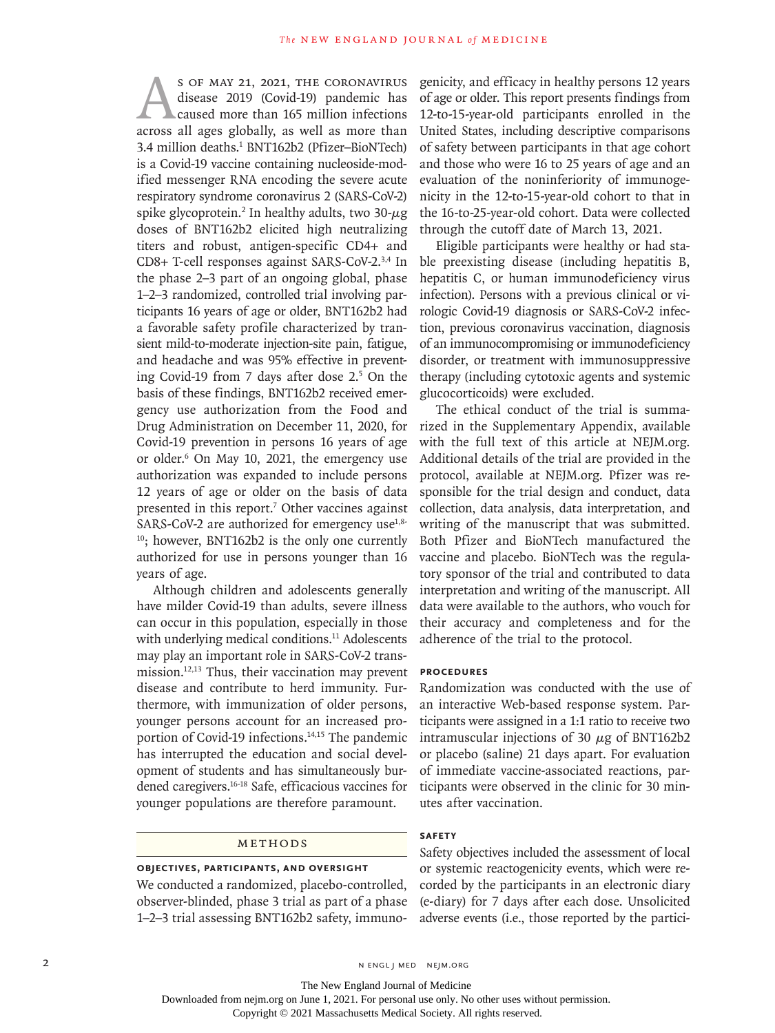S OF MAY 21, 2021, THE CORONAVIRUS<br>disease 2019 (Covid-19) pandemic has<br>caused more than 165 million infections<br>across all ages globally, as well as more than disease 2019 (Covid-19) pandemic has caused more than 165 million infections 3.4 million deaths.<sup>1</sup> BNT162b2 (Pfizer-BioNTech) is a Covid-19 vaccine containing nucleoside-modified messenger RNA encoding the severe acute respiratory syndrome coronavirus 2 (SARS-CoV-2) spike glycoprotein.<sup>2</sup> In healthy adults, two 30- $\mu$ g doses of BNT162b2 elicited high neutralizing titers and robust, antigen-specific CD4+ and CD8+ T-cell responses against SARS-CoV-2.3,4 In the phase 2–3 part of an ongoing global, phase 1–2–3 randomized, controlled trial involving participants 16 years of age or older, BNT162b2 had a favorable safety profile characterized by transient mild-to-moderate injection-site pain, fatigue, and headache and was 95% effective in preventing Covid-19 from 7 days after dose 2.5 On the basis of these findings, BNT162b2 received emergency use authorization from the Food and Drug Administration on December 11, 2020, for Covid-19 prevention in persons 16 years of age or older.<sup>6</sup> On May 10, 2021, the emergency use authorization was expanded to include persons 12 years of age or older on the basis of data presented in this report.<sup>7</sup> Other vaccines against SARS-CoV-2 are authorized for emergency use<sup>1,8-</sup>  $10$ ; however, BNT162b2 is the only one currently authorized for use in persons younger than 16 years of age.

Although children and adolescents generally have milder Covid-19 than adults, severe illness can occur in this population, especially in those with underlying medical conditions.<sup>11</sup> Adolescents may play an important role in SARS-CoV-2 transmission.12,13 Thus, their vaccination may prevent disease and contribute to herd immunity. Furthermore, with immunization of older persons, younger persons account for an increased proportion of Covid-19 infections.<sup>14,15</sup> The pandemic has interrupted the education and social development of students and has simultaneously burdened caregivers.16-18 Safe, efficacious vaccines for younger populations are therefore paramount.

# Methods

## **Objectives, Participants, and Oversight**

We conducted a randomized, placebo-controlled, observer-blinded, phase 3 trial as part of a phase 1–2–3 trial assessing BNT162b2 safety, immunogenicity, and efficacy in healthy persons 12 years of age or older. This report presents findings from 12-to-15-year-old participants enrolled in the United States, including descriptive comparisons of safety between participants in that age cohort and those who were 16 to 25 years of age and an evaluation of the noninferiority of immunogenicity in the 12-to-15-year-old cohort to that in the 16-to-25-year-old cohort. Data were collected through the cutoff date of March 13, 2021.

Eligible participants were healthy or had stable preexisting disease (including hepatitis B, hepatitis C, or human immunodeficiency virus infection). Persons with a previous clinical or virologic Covid-19 diagnosis or SARS-CoV-2 infection, previous coronavirus vaccination, diagnosis of an immunocompromising or immunodeficiency disorder, or treatment with immunosuppressive therapy (including cytotoxic agents and systemic glucocorticoids) were excluded.

The ethical conduct of the trial is summarized in the Supplementary Appendix, available with the full text of this article at NEJM.org. Additional details of the trial are provided in the protocol, available at NEJM.org. Pfizer was responsible for the trial design and conduct, data collection, data analysis, data interpretation, and writing of the manuscript that was submitted. Both Pfizer and BioNTech manufactured the vaccine and placebo. BioNTech was the regulatory sponsor of the trial and contributed to data interpretation and writing of the manuscript. All data were available to the authors, who vouch for their accuracy and completeness and for the adherence of the trial to the protocol.

## **Procedures**

Randomization was conducted with the use of an interactive Web-based response system. Participants were assigned in a 1:1 ratio to receive two intramuscular injections of 30  $\mu$ g of BNT162b2 or placebo (saline) 21 days apart. For evaluation of immediate vaccine-associated reactions, participants were observed in the clinic for 30 minutes after vaccination.

## **Safety**

Safety objectives included the assessment of local or systemic reactogenicity events, which were recorded by the participants in an electronic diary (e-diary) for 7 days after each dose. Unsolicited adverse events (i.e., those reported by the partici-

2 N ENGL J MED NEJM.ORG

The New England Journal of Medicine

Downloaded from nejm.org on June 1, 2021. For personal use only. No other uses without permission.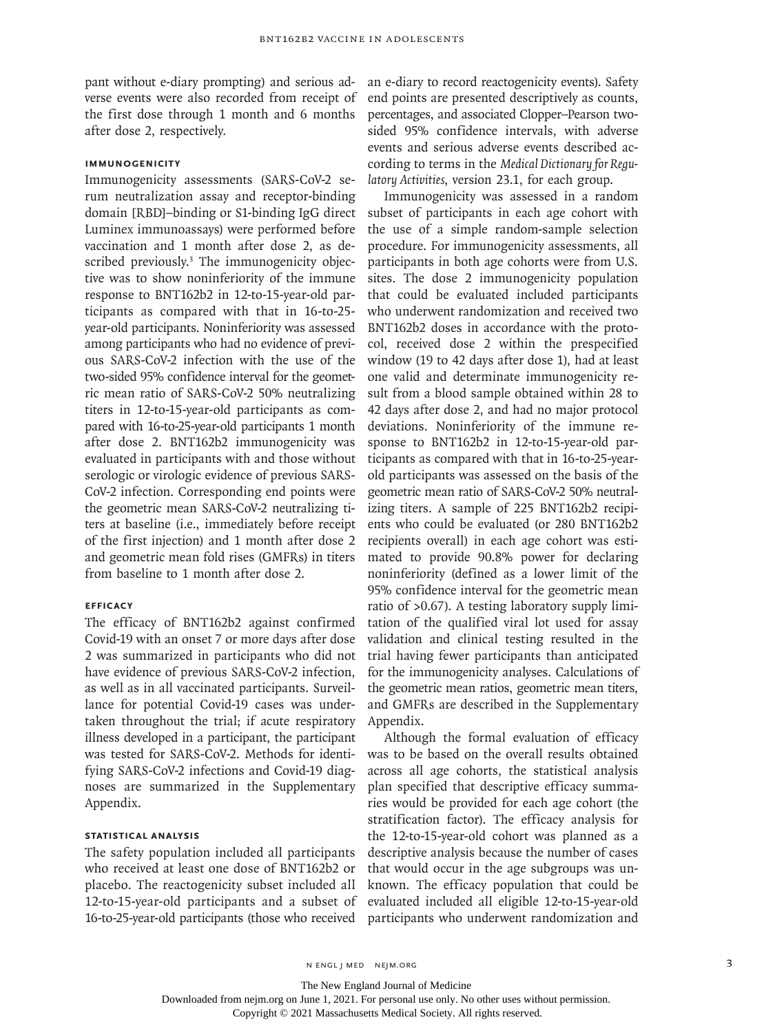pant without e-diary prompting) and serious adverse events were also recorded from receipt of the first dose through 1 month and 6 months after dose 2, respectively.

# **Immunogenicity**

Immunogenicity assessments (SARS-CoV-2 serum neutralization assay and receptor-binding domain [RBD]–binding or S1-binding IgG direct Luminex immunoassays) were performed before vaccination and 1 month after dose 2, as described previously.<sup>3</sup> The immunogenicity objective was to show noninferiority of the immune response to BNT162b2 in 12-to-15-year-old participants as compared with that in 16-to-25 year-old participants. Noninferiority was assessed among participants who had no evidence of previous SARS-CoV-2 infection with the use of the two-sided 95% confidence interval for the geometric mean ratio of SARS-CoV-2 50% neutralizing titers in 12-to-15-year-old participants as compared with 16-to-25-year-old participants 1 month after dose 2. BNT162b2 immunogenicity was evaluated in participants with and those without serologic or virologic evidence of previous SARS-CoV-2 infection. Corresponding end points were the geometric mean SARS-CoV-2 neutralizing titers at baseline (i.e., immediately before receipt of the first injection) and 1 month after dose 2 and geometric mean fold rises (GMFRs) in titers from baseline to 1 month after dose 2.

## **Efficacy**

The efficacy of BNT162b2 against confirmed Covid-19 with an onset 7 or more days after dose 2 was summarized in participants who did not have evidence of previous SARS-CoV-2 infection, as well as in all vaccinated participants. Surveillance for potential Covid-19 cases was undertaken throughout the trial; if acute respiratory illness developed in a participant, the participant was tested for SARS-CoV-2. Methods for identifying SARS-CoV-2 infections and Covid-19 diagnoses are summarized in the Supplementary Appendix.

## **Statistical Analysis**

The safety population included all participants who received at least one dose of BNT162b2 or placebo. The reactogenicity subset included all 16-to-25-year-old participants (those who received participants who underwent randomization and

an e-diary to record reactogenicity events). Safety end points are presented descriptively as counts, percentages, and associated Clopper–Pearson twosided 95% confidence intervals, with adverse events and serious adverse events described according to terms in the *Medical Dictionary for Regulatory Activities*, version 23.1, for each group.

Immunogenicity was assessed in a random subset of participants in each age cohort with the use of a simple random-sample selection procedure. For immunogenicity assessments, all participants in both age cohorts were from U.S. sites. The dose 2 immunogenicity population that could be evaluated included participants who underwent randomization and received two BNT162b2 doses in accordance with the protocol, received dose 2 within the prespecified window (19 to 42 days after dose 1), had at least one valid and determinate immunogenicity result from a blood sample obtained within 28 to 42 days after dose 2, and had no major protocol deviations. Noninferiority of the immune response to BNT162b2 in 12-to-15-year-old participants as compared with that in 16-to-25-yearold participants was assessed on the basis of the geometric mean ratio of SARS-CoV-2 50% neutralizing titers. A sample of 225 BNT162b2 recipients who could be evaluated (or 280 BNT162b2 recipients overall) in each age cohort was estimated to provide 90.8% power for declaring noninferiority (defined as a lower limit of the 95% confidence interval for the geometric mean ratio of >0.67). A testing laboratory supply limitation of the qualified viral lot used for assay validation and clinical testing resulted in the trial having fewer participants than anticipated for the immunogenicity analyses. Calculations of the geometric mean ratios, geometric mean titers, and GMFRs are described in the Supplementary Appendix.

12-to-15-year-old participants and a subset of evaluated included all eligible 12-to-15-year-old Although the formal evaluation of efficacy was to be based on the overall results obtained across all age cohorts, the statistical analysis plan specified that descriptive efficacy summaries would be provided for each age cohort (the stratification factor). The efficacy analysis for the 12-to-15-year-old cohort was planned as a descriptive analysis because the number of cases that would occur in the age subgroups was unknown. The efficacy population that could be

n engl j med nejm.org 3

The New England Journal of Medicine

Downloaded from nejm.org on June 1, 2021. For personal use only. No other uses without permission.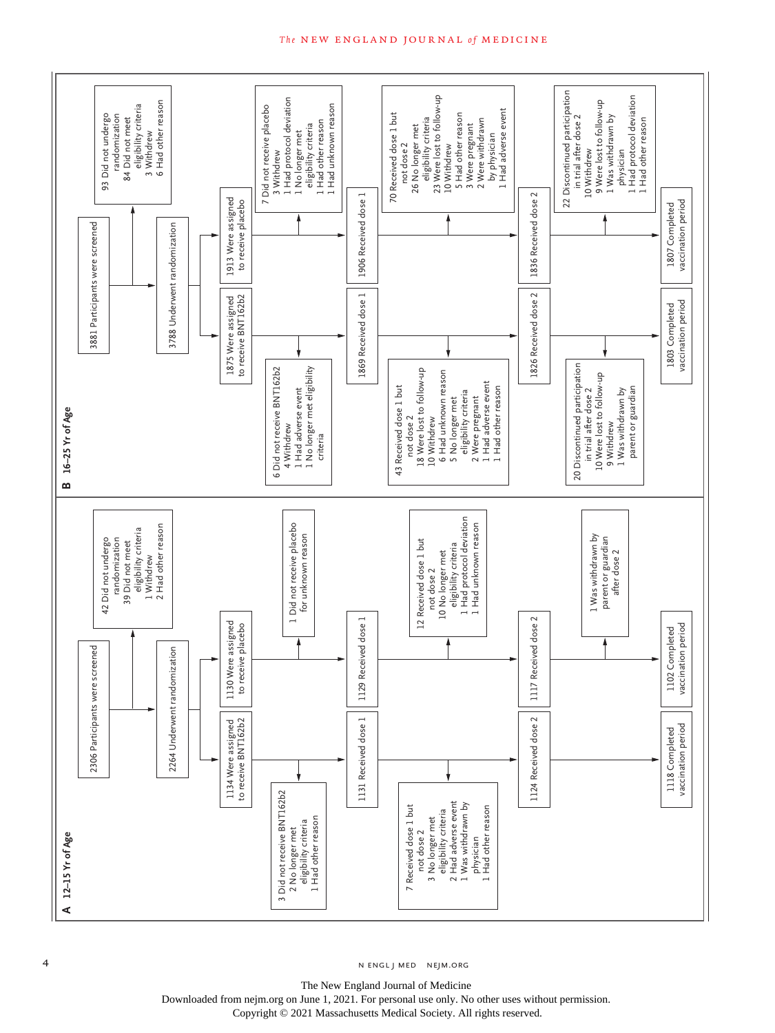

#### **The NEW ENGLAND JOURNAL of MEDICINE**

4 n engl j med nejm.org nejm.org neighborhood in the negative media in the negative media in the negative media in the negative media in the negative media in the negative media in the negative media in the negative media

The New England Journal of Medicine Downloaded from nejm.org on June 1, 2021. For personal use only. No other uses without permission.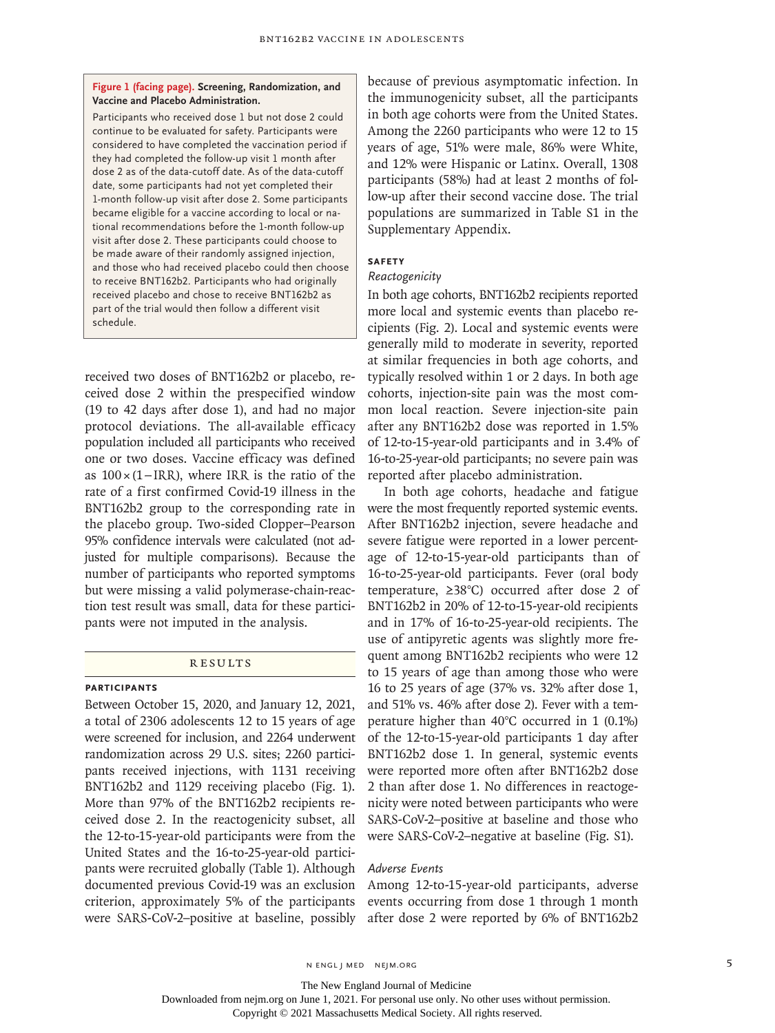## **Figure 1 (facing page). Screening, Randomization, and Vaccine and Placebo Administration.**

Participants who received dose 1 but not dose 2 could continue to be evaluated for safety. Participants were considered to have completed the vaccination period if they had completed the follow-up visit 1 month after dose 2 as of the data-cutoff date. As of the data-cutoff date, some participants had not yet completed their 1-month follow-up visit after dose 2. Some participants became eligible for a vaccine according to local or national recommendations before the 1-month follow-up visit after dose 2. These participants could choose to be made aware of their randomly assigned injection, and those who had received placebo could then choose to receive BNT162b2. Participants who had originally received placebo and chose to receive BNT162b2 as part of the trial would then follow a different visit schedule.

received two doses of BNT162b2 or placebo, received dose 2 within the prespecified window (19 to 42 days after dose 1), and had no major protocol deviations. The all-available efficacy population included all participants who received one or two doses. Vaccine efficacy was defined as 100×(1−IRR), where IRR is the ratio of the rate of a first confirmed Covid-19 illness in the BNT162b2 group to the corresponding rate in the placebo group. Two-sided Clopper–Pearson 95% confidence intervals were calculated (not adjusted for multiple comparisons). Because the number of participants who reported symptoms but were missing a valid polymerase-chain-reaction test result was small, data for these participants were not imputed in the analysis.

## **RESULTS**

# **Participants**

Between October 15, 2020, and January 12, 2021, a total of 2306 adolescents 12 to 15 years of age were screened for inclusion, and 2264 underwent randomization across 29 U.S. sites; 2260 participants received injections, with 1131 receiving BNT162b2 and 1129 receiving placebo (Fig. 1). More than 97% of the BNT162b2 recipients received dose 2. In the reactogenicity subset, all the 12-to-15-year-old participants were from the United States and the 16-to-25-year-old participants were recruited globally (Table 1). Although documented previous Covid-19 was an exclusion criterion, approximately 5% of the participants were SARS-CoV-2–positive at baseline, possibly because of previous asymptomatic infection. In the immunogenicity subset, all the participants in both age cohorts were from the United States. Among the 2260 participants who were 12 to 15 years of age, 51% were male, 86% were White, and 12% were Hispanic or Latinx. Overall, 1308 participants (58%) had at least 2 months of follow-up after their second vaccine dose. The trial populations are summarized in Table S1 in the Supplementary Appendix.

## **Safety**

# *Reactogenicity*

In both age cohorts, BNT162b2 recipients reported more local and systemic events than placebo recipients (Fig. 2). Local and systemic events were generally mild to moderate in severity, reported at similar frequencies in both age cohorts, and typically resolved within 1 or 2 days. In both age cohorts, injection-site pain was the most common local reaction. Severe injection-site pain after any BNT162b2 dose was reported in 1.5% of 12-to-15-year-old participants and in 3.4% of 16-to-25-year-old participants; no severe pain was reported after placebo administration.

In both age cohorts, headache and fatigue were the most frequently reported systemic events. After BNT162b2 injection, severe headache and severe fatigue were reported in a lower percentage of 12-to-15-year-old participants than of 16-to-25-year-old participants. Fever (oral body temperature, ≥38°C) occurred after dose 2 of BNT162b2 in 20% of 12-to-15-year-old recipients and in 17% of 16-to-25-year-old recipients. The use of antipyretic agents was slightly more frequent among BNT162b2 recipients who were 12 to 15 years of age than among those who were 16 to 25 years of age (37% vs. 32% after dose 1, and 51% vs. 46% after dose 2). Fever with a temperature higher than 40°C occurred in 1 (0.1%) of the 12-to-15-year-old participants 1 day after BNT162b2 dose 1. In general, systemic events were reported more often after BNT162b2 dose 2 than after dose 1. No differences in reactogenicity were noted between participants who were SARS-CoV-2–positive at baseline and those who were SARS-CoV-2–negative at baseline (Fig. S1).

## *Adverse Events*

Among 12-to-15-year-old participants, adverse events occurring from dose 1 through 1 month after dose 2 were reported by 6% of BNT162b2

The New England Journal of Medicine

Downloaded from nejm.org on June 1, 2021. For personal use only. No other uses without permission.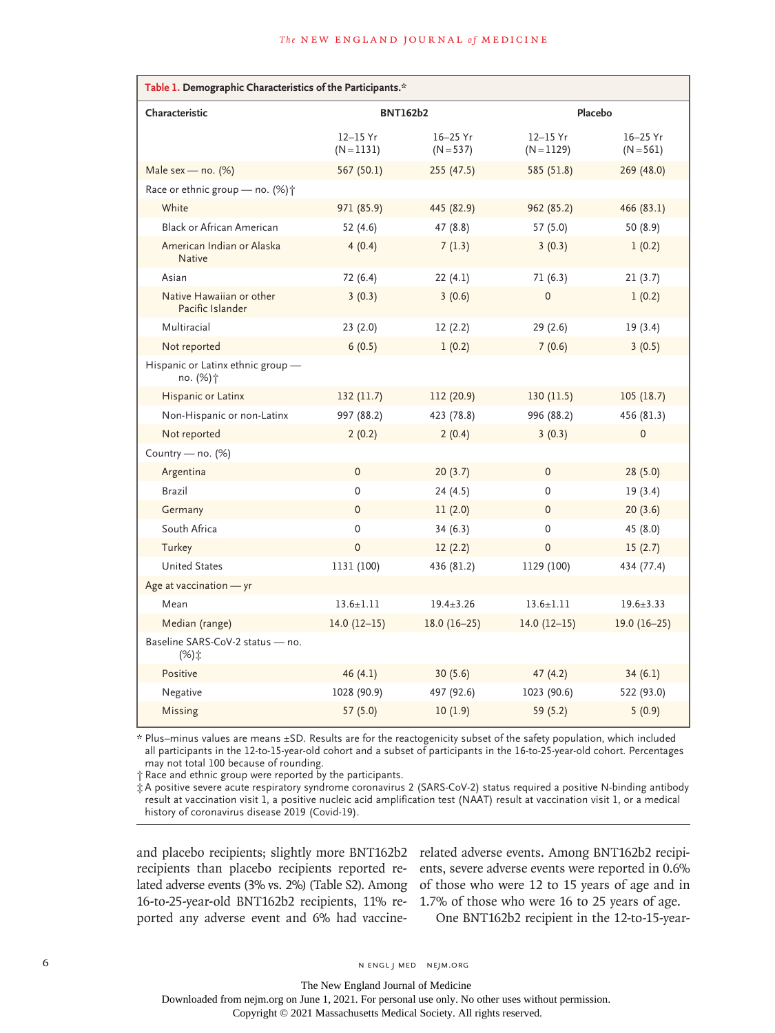| Table 1. Demographic Characteristics of the Participants.* |                              |                             |                              |                             |  |  |  |  |  |
|------------------------------------------------------------|------------------------------|-----------------------------|------------------------------|-----------------------------|--|--|--|--|--|
| Characteristic                                             | <b>BNT162b2</b>              |                             | Placebo                      |                             |  |  |  |  |  |
|                                                            | $12 - 15$ Yr<br>$(N = 1131)$ | $16 - 25$ Yr<br>$(N = 537)$ | $12 - 15$ Yr<br>$(N = 1129)$ | $16 - 25$ Yr<br>$(N = 561)$ |  |  |  |  |  |
| Male sex — no. $(\%)$                                      | 567 (50.1)                   | 255 (47.5)                  | 585 (51.8)                   | 269 (48.0)                  |  |  |  |  |  |
| Race or ethnic group - no. (%) +                           |                              |                             |                              |                             |  |  |  |  |  |
| White                                                      | 971 (85.9)                   | 445 (82.9)                  | 962 (85.2)                   | 466 (83.1)                  |  |  |  |  |  |
| <b>Black or African American</b>                           | 52(4.6)                      | 47 (8.8)                    | 57 (5.0)                     | 50 (8.9)                    |  |  |  |  |  |
| American Indian or Alaska<br><b>Native</b>                 | 4(0.4)                       | 7(1.3)                      | 3(0.3)                       | 1(0.2)                      |  |  |  |  |  |
| Asian                                                      | 72 (6.4)                     | 22 (4.1)                    | 71(6.3)                      | 21(3.7)                     |  |  |  |  |  |
| Native Hawaiian or other<br>Pacific Islander               | 3(0.3)                       | 3(0.6)                      | $\mathbf 0$                  | 1(0.2)                      |  |  |  |  |  |
| Multiracial                                                | 23(2.0)                      | 12(2.2)                     | 29(2.6)                      | 19(3.4)                     |  |  |  |  |  |
| Not reported                                               | 6(0.5)                       | 1(0.2)                      | 7(0.6)                       | 3(0.5)                      |  |  |  |  |  |
| Hispanic or Latinx ethnic group -<br>no. (%)†              |                              |                             |                              |                             |  |  |  |  |  |
| Hispanic or Latinx                                         | 132 (11.7)                   | 112 (20.9)                  | 130(11.5)                    | 105(18.7)                   |  |  |  |  |  |
| Non-Hispanic or non-Latinx                                 | 997 (88.2)                   | 423 (78.8)                  | 996 (88.2)                   | 456 (81.3)                  |  |  |  |  |  |
| Not reported                                               | 2(0.2)                       | 2(0.4)                      | 3(0.3)                       | $\mathbf 0$                 |  |  |  |  |  |
| Country - no. $(%)$                                        |                              |                             |                              |                             |  |  |  |  |  |
| Argentina                                                  | $\mathbf{0}$                 | 20(3.7)                     | $\mathbf{0}$                 | 28(5.0)                     |  |  |  |  |  |
| Brazil                                                     | $\mathbf 0$                  | 24(4.5)                     | $\mathbf{0}$                 | 19(3.4)                     |  |  |  |  |  |
| Germany                                                    | $\mathbf{0}$                 | 11(2.0)                     | $\pmb{0}$                    | 20(3.6)                     |  |  |  |  |  |
| South Africa                                               | 0                            | 34(6.3)                     | 0                            | 45 (8.0)                    |  |  |  |  |  |
| Turkey                                                     | $\mathbf 0$                  | 12(2.2)                     | $\mathbf 0$                  | 15(2.7)                     |  |  |  |  |  |
| <b>United States</b>                                       | 1131 (100)                   | 436 (81.2)                  | 1129 (100)                   | 434 (77.4)                  |  |  |  |  |  |
| Age at vaccination - yr                                    |                              |                             |                              |                             |  |  |  |  |  |
| Mean                                                       | $13.6 \pm 1.11$              | $19.4 \pm 3.26$             | $13.6 \pm 1.11$              | $19.6 \pm 3.33$             |  |  |  |  |  |
| Median (range)                                             | $14.0(12-15)$                | $18.0(16-25)$               | $14.0(12-15)$                | $19.0(16-25)$               |  |  |  |  |  |
| Baseline SARS-CoV-2 status - no.<br>(%):                   |                              |                             |                              |                             |  |  |  |  |  |
| Positive                                                   | 46(4.1)                      | 30(5.6)                     | 47(4.2)                      | 34(6.1)                     |  |  |  |  |  |
| Negative                                                   | 1028 (90.9)                  | 497 (92.6)                  | 1023 (90.6)                  | 522 (93.0)                  |  |  |  |  |  |
| Missing                                                    | 57 (5.0)                     | 10(1.9)                     | 59 (5.2)                     | 5(0.9)                      |  |  |  |  |  |

\* Plus–minus values are means ±SD. Results are for the reactogenicity subset of the safety population, which included all participants in the 12-to-15-year-old cohort and a subset of participants in the 16-to-25-year-old cohort. Percentages may not total 100 because of rounding.

† Race and ethnic group were reported by the participants.

‡ A positive severe acute respiratory syndrome coronavirus 2 (SARS-CoV-2) status required a positive N-binding antibody result at vaccination visit 1, a positive nucleic acid amplification test (NAAT) result at vaccination visit 1, or a medical history of coronavirus disease 2019 (Covid-19).

and placebo recipients; slightly more BNT162b2 recipients than placebo recipients reported related adverse events (3% vs. 2%) (Table S2). Among 16-to-25-year-old BNT162b2 recipients, 11% reported any adverse event and 6% had vaccine-

related adverse events. Among BNT162b2 recipients, severe adverse events were reported in 0.6% of those who were 12 to 15 years of age and in 1.7% of those who were 16 to 25 years of age.

One BNT162b2 recipient in the 12-to-15-year-

The New England Journal of Medicine Downloaded from nejm.org on June 1, 2021. For personal use only. No other uses without permission.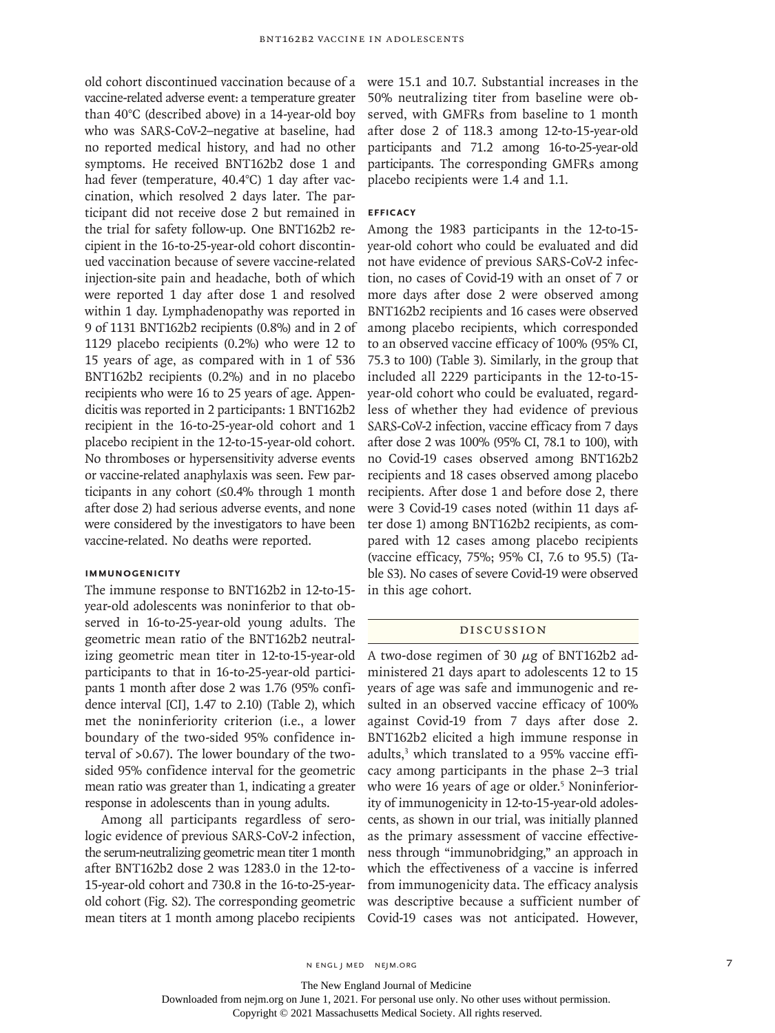old cohort discontinued vaccination because of a vaccine-related adverse event: a temperature greater than 40°C (described above) in a 14-year-old boy who was SARS-CoV-2–negative at baseline, had no reported medical history, and had no other symptoms. He received BNT162b2 dose 1 and had fever (temperature, 40.4°C) 1 day after vaccination, which resolved 2 days later. The participant did not receive dose 2 but remained in the trial for safety follow-up. One BNT162b2 recipient in the 16-to-25-year-old cohort discontinued vaccination because of severe vaccine-related injection-site pain and headache, both of which were reported 1 day after dose 1 and resolved within 1 day. Lymphadenopathy was reported in 9 of 1131 BNT162b2 recipients (0.8%) and in 2 of 1129 placebo recipients (0.2%) who were 12 to 15 years of age, as compared with in 1 of 536 BNT162b2 recipients (0.2%) and in no placebo recipients who were 16 to 25 years of age. Appendicitis was reported in 2 participants: 1 BNT162b2 recipient in the 16-to-25-year-old cohort and 1 placebo recipient in the 12-to-15-year-old cohort. No thromboses or hypersensitivity adverse events or vaccine-related anaphylaxis was seen. Few participants in any cohort (≤0.4% through 1 month after dose 2) had serious adverse events, and none were considered by the investigators to have been vaccine-related. No deaths were reported.

## **Immunogenicity**

The immune response to BNT162b2 in 12-to-15 year-old adolescents was noninferior to that observed in 16-to-25-year-old young adults. The geometric mean ratio of the BNT162b2 neutralizing geometric mean titer in 12-to-15-year-old participants to that in 16-to-25-year-old participants 1 month after dose 2 was 1.76 (95% confidence interval [CI], 1.47 to 2.10) (Table 2), which met the noninferiority criterion (i.e., a lower boundary of the two-sided 95% confidence interval of >0.67). The lower boundary of the twosided 95% confidence interval for the geometric mean ratio was greater than 1, indicating a greater response in adolescents than in young adults.

Among all participants regardless of serologic evidence of previous SARS-CoV-2 infection, the serum-neutralizing geometric mean titer 1 month after BNT162b2 dose 2 was 1283.0 in the 12-to-15-year-old cohort and 730.8 in the 16-to-25-yearold cohort (Fig. S2). The corresponding geometric mean titers at 1 month among placebo recipients were 15.1 and 10.7. Substantial increases in the 50% neutralizing titer from baseline were observed, with GMFRs from baseline to 1 month after dose 2 of 118.3 among 12-to-15-year-old participants and 71.2 among 16-to-25-year-old participants. The corresponding GMFRs among placebo recipients were 1.4 and 1.1.

## **Efficacy**

Among the 1983 participants in the 12-to-15 year-old cohort who could be evaluated and did not have evidence of previous SARS-CoV-2 infection, no cases of Covid-19 with an onset of 7 or more days after dose 2 were observed among BNT162b2 recipients and 16 cases were observed among placebo recipients, which corresponded to an observed vaccine efficacy of 100% (95% CI, 75.3 to 100) (Table 3). Similarly, in the group that included all 2229 participants in the 12-to-15 year-old cohort who could be evaluated, regardless of whether they had evidence of previous SARS-CoV-2 infection, vaccine efficacy from 7 days after dose 2 was 100% (95% CI, 78.1 to 100), with no Covid-19 cases observed among BNT162b2 recipients and 18 cases observed among placebo recipients. After dose 1 and before dose 2, there were 3 Covid-19 cases noted (within 11 days after dose 1) among BNT162b2 recipients, as compared with 12 cases among placebo recipients (vaccine efficacy, 75%; 95% CI, 7.6 to 95.5) (Table S3). No cases of severe Covid-19 were observed in this age cohort.

# Discussion

A two-dose regimen of 30 μg of BNT162b2 administered 21 days apart to adolescents 12 to 15 years of age was safe and immunogenic and resulted in an observed vaccine efficacy of 100% against Covid-19 from 7 days after dose 2. BNT162b2 elicited a high immune response in adults,3 which translated to a 95% vaccine efficacy among participants in the phase 2–3 trial who were 16 years of age or older.<sup>5</sup> Noninferiority of immunogenicity in 12-to-15-year-old adolescents, as shown in our trial, was initially planned as the primary assessment of vaccine effectiveness through "immunobridging," an approach in which the effectiveness of a vaccine is inferred from immunogenicity data. The efficacy analysis was descriptive because a sufficient number of Covid-19 cases was not anticipated. However,

The New England Journal of Medicine

Downloaded from nejm.org on June 1, 2021. For personal use only. No other uses without permission.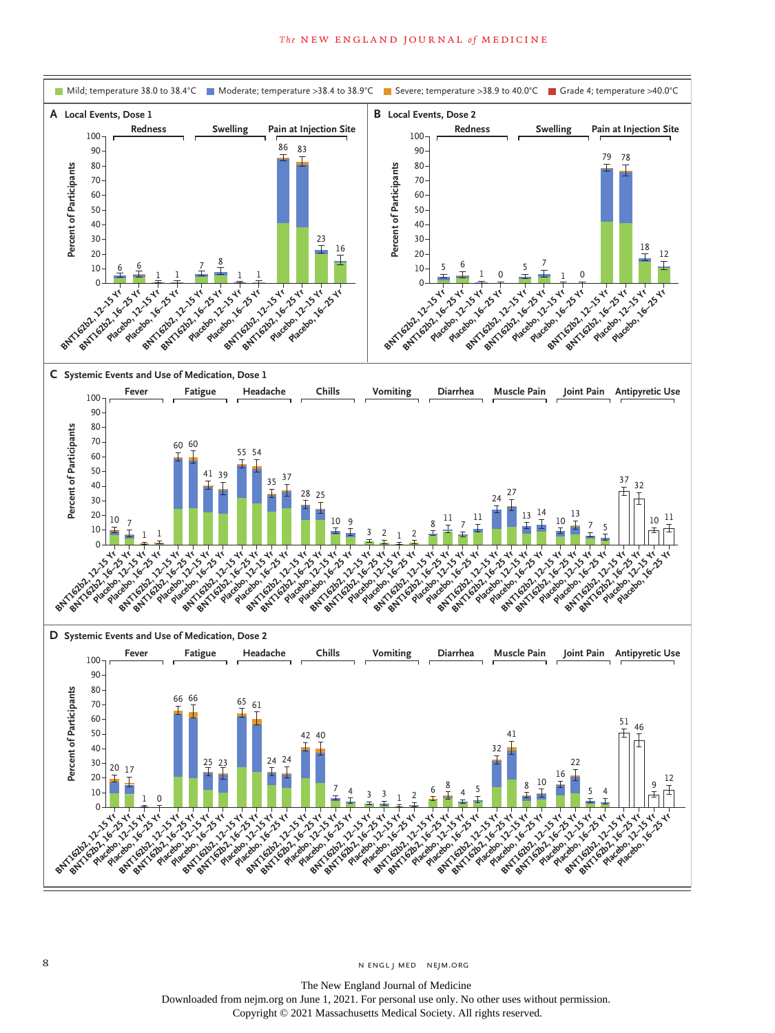

8 N ENGL J MED NEJM.ORG

The New England Journal of Medicine Downloaded from nejm.org on June 1, 2021. For personal use only. No other uses without permission. Copyright © 2021 Massachusetts Medical Society. All rights reserved.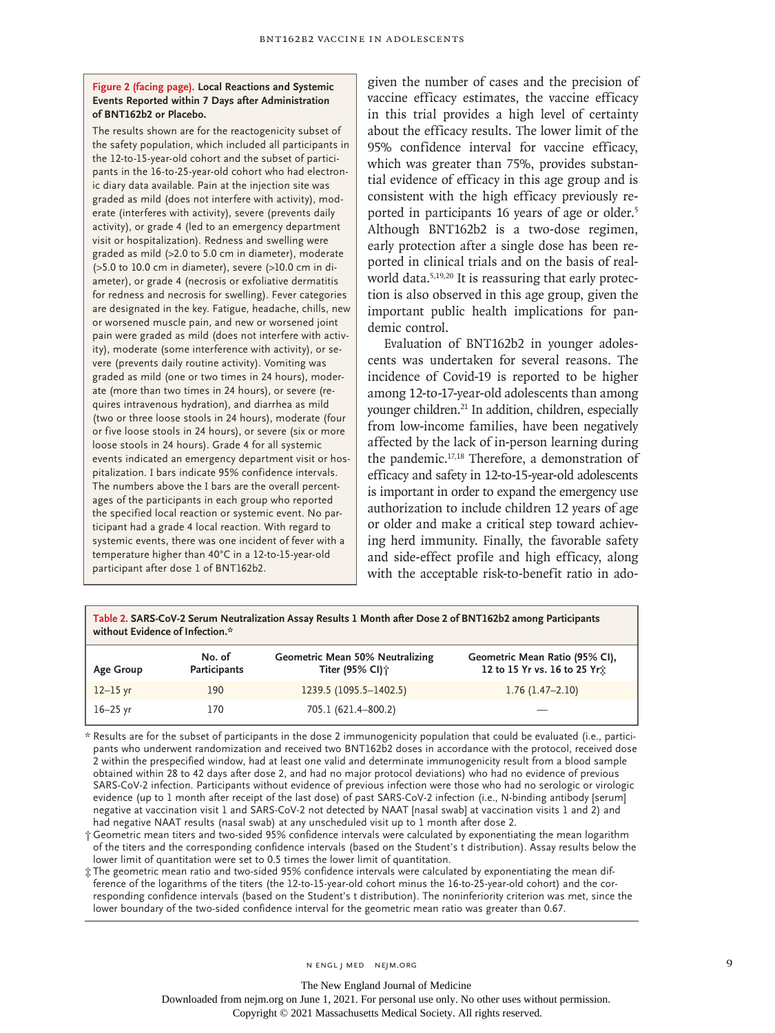## **Figure 2 (facing page). Local Reactions and Systemic Events Reported within 7 Days after Administration of BNT162b2 or Placebo.**

The results shown are for the reactogenicity subset of the safety population, which included all participants in the 12-to-15-year-old cohort and the subset of participants in the 16-to-25-year-old cohort who had electronic diary data available. Pain at the injection site was graded as mild (does not interfere with activity), moderate (interferes with activity), severe (prevents daily activity), or grade 4 (led to an emergency department visit or hospitalization). Redness and swelling were graded as mild (>2.0 to 5.0 cm in diameter), moderate (>5.0 to 10.0 cm in diameter), severe (>10.0 cm in diameter), or grade 4 (necrosis or exfoliative dermatitis for redness and necrosis for swelling). Fever categories are designated in the key. Fatigue, headache, chills, new or worsened muscle pain, and new or worsened joint pain were graded as mild (does not interfere with activity), moderate (some interference with activity), or severe (prevents daily routine activity). Vomiting was graded as mild (one or two times in 24 hours), moderate (more than two times in 24 hours), or severe (requires intravenous hydration), and diarrhea as mild (two or three loose stools in 24 hours), moderate (four or five loose stools in 24 hours), or severe (six or more loose stools in 24 hours). Grade 4 for all systemic events indicated an emergency department visit or hospitalization. I bars indicate 95% confidence intervals. The numbers above the I bars are the overall percentages of the participants in each group who reported the specified local reaction or systemic event. No participant had a grade 4 local reaction. With regard to systemic events, there was one incident of fever with a temperature higher than 40°C in a 12-to-15-year-old participant after dose 1 of BNT162b2.

given the number of cases and the precision of vaccine efficacy estimates, the vaccine efficacy in this trial provides a high level of certainty about the efficacy results. The lower limit of the 95% confidence interval for vaccine efficacy, which was greater than 75%, provides substantial evidence of efficacy in this age group and is consistent with the high efficacy previously reported in participants 16 years of age or older.<sup>5</sup> Although BNT162b2 is a two-dose regimen, early protection after a single dose has been reported in clinical trials and on the basis of realworld data.<sup>5,19,20</sup> It is reassuring that early protection is also observed in this age group, given the important public health implications for pandemic control.

Evaluation of BNT162b2 in younger adolescents was undertaken for several reasons. The incidence of Covid-19 is reported to be higher among 12-to-17-year-old adolescents than among younger children.<sup>21</sup> In addition, children, especially from low-income families, have been negatively affected by the lack of in-person learning during the pandemic.17,18 Therefore, a demonstration of efficacy and safety in 12-to-15-year-old adolescents is important in order to expand the emergency use authorization to include children 12 years of age or older and make a critical step toward achieving herd immunity. Finally, the favorable safety and side-effect profile and high efficacy, along with the acceptable risk-to-benefit ratio in ado-

**Table 2. SARS-CoV-2 Serum Neutralization Assay Results 1 Month after Dose 2 of BNT162b2 among Participants without Evidence of Infection.\* No. of Geometric Mean 50% Neutralizing Geometric Mean Ratio (95% CI),**

| Age Group | Participants | Titer (95% CI);        | 12 to 15 Yr vs. 16 to 25 Yr: |
|-----------|--------------|------------------------|------------------------------|
| 12–15 yr  | 190          | 1239.5 (1095.5-1402.5) | $1.76(1.47-2.10)$            |
| 16–25 yr  | 170          | 705.1 (621.4–800.2)    |                              |

\* Results are for the subset of participants in the dose 2 immunogenicity population that could be evaluated (i.e., participants who underwent randomization and received two BNT162b2 doses in accordance with the protocol, received dose 2 within the prespecified window, had at least one valid and determinate immunogenicity result from a blood sample obtained within 28 to 42 days after dose 2, and had no major protocol deviations) who had no evidence of previous SARS-CoV-2 infection. Participants without evidence of previous infection were those who had no serologic or virologic evidence (up to 1 month after receipt of the last dose) of past SARS-CoV-2 infection (i.e., N-binding antibody [serum] negative at vaccination visit 1 and SARS-CoV-2 not detected by NAAT [nasal swab] at vaccination visits 1 and 2) and had negative NAAT results (nasal swab) at any unscheduled visit up to 1 month after dose 2.

† Geometric mean titers and two-sided 95% confidence intervals were calculated by exponentiating the mean logarithm of the titers and the corresponding confidence intervals (based on the Student's t distribution). Assay results below the lower limit of quantitation were set to 0.5 times the lower limit of quantitation.

‡ The geometric mean ratio and two-sided 95% confidence intervals were calculated by exponentiating the mean difference of the logarithms of the titers (the 12-to-15-year-old cohort minus the 16-to-25-year-old cohort) and the corresponding confidence intervals (based on the Student's t distribution). The noninferiority criterion was met, since the lower boundary of the two-sided confidence interval for the geometric mean ratio was greater than 0.67.

n engl j med nejm.org 9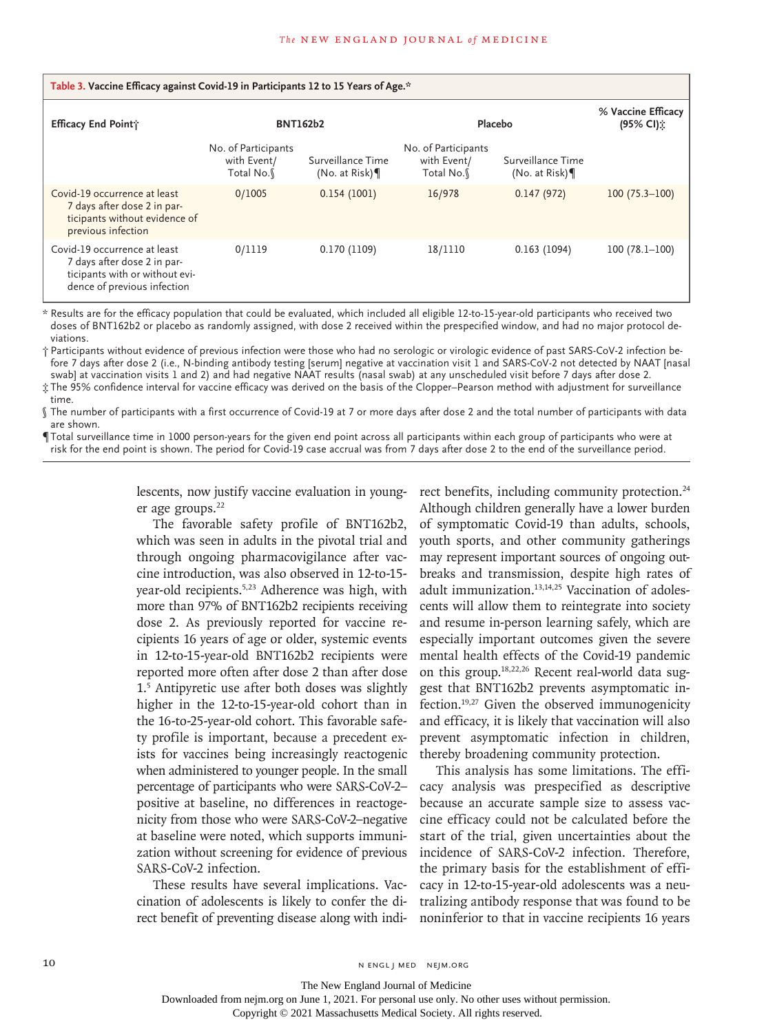| Table 3. Vaccine Efficacy against Covid-19 in Participants 12 to 15 Years of Age.*                                           |                                                 |                                    |                                                 |                                         |                                 |  |  |  |  |
|------------------------------------------------------------------------------------------------------------------------------|-------------------------------------------------|------------------------------------|-------------------------------------------------|-----------------------------------------|---------------------------------|--|--|--|--|
| Efficacy End Point;                                                                                                          | <b>BNT162b2</b>                                 |                                    | Placebo                                         |                                         | % Vaccine Efficacy<br>(95% CI): |  |  |  |  |
|                                                                                                                              | No. of Participants<br>with Event/<br>Total No. | Surveillance Time<br>(No. at Risk) | No. of Participants<br>with Event/<br>Total No. | Surveillance Time<br>(No. at Risk) $\P$ |                                 |  |  |  |  |
| Covid-19 occurrence at least<br>7 days after dose 2 in par-<br>ticipants without evidence of<br>previous infection           | 0/1005                                          | 0.154(1001)                        | 16/978                                          | 0.147(972)                              | $100(75.3 - 100)$               |  |  |  |  |
| Covid-19 occurrence at least<br>7 days after dose 2 in par-<br>ticipants with or without evi-<br>dence of previous infection | 0/1119                                          | 0.170(1109)                        | 18/1110                                         | 0.163(1094)                             | $100(78.1-100)$                 |  |  |  |  |

\* Results are for the efficacy population that could be evaluated, which included all eligible 12-to-15-year-old participants who received two doses of BNT162b2 or placebo as randomly assigned, with dose 2 received within the prespecified window, and had no major protocol deviations.

† Participants without evidence of previous infection were those who had no serologic or virologic evidence of past SARS-CoV-2 infection before 7 days after dose 2 (i.e., N-binding antibody testing [serum] negative at vaccination visit 1 and SARS-CoV-2 not detected by NAAT [nasal swab] at vaccination visits 1 and 2) and had negative NAAT results (nasal swab) at any unscheduled visit before 7 days after dose 2.

‡ The 95% confidence interval for vaccine efficacy was derived on the basis of the Clopper–Pearson method with adjustment for surveillance time.

§ The number of participants with a first occurrence of Covid-19 at 7 or more days after dose 2 and the total number of participants with data are shown.

¶ Total surveillance time in 1000 person-years for the given end point across all participants within each group of participants who were at risk for the end point is shown. The period for Covid-19 case accrual was from 7 days after dose 2 to the end of the surveillance period.

> lescents, now justify vaccine evaluation in younger age groups.<sup>22</sup>

The favorable safety profile of BNT162b2, which was seen in adults in the pivotal trial and through ongoing pharmacovigilance after vaccine introduction, was also observed in 12-to-15 year-old recipients.<sup>5,23</sup> Adherence was high, with more than 97% of BNT162b2 recipients receiving dose 2. As previously reported for vaccine recipients 16 years of age or older, systemic events in 12-to-15-year-old BNT162b2 recipients were reported more often after dose 2 than after dose 1.5 Antipyretic use after both doses was slightly higher in the 12-to-15-year-old cohort than in the 16-to-25-year-old cohort. This favorable safety profile is important, because a precedent exists for vaccines being increasingly reactogenic when administered to younger people. In the small percentage of participants who were SARS-CoV-2– positive at baseline, no differences in reactogenicity from those who were SARS-CoV-2–negative at baseline were noted, which supports immunization without screening for evidence of previous SARS-CoV-2 infection.

These results have several implications. Vaccination of adolescents is likely to confer the direct benefit of preventing disease along with indirect benefits, including community protection.<sup>24</sup> Although children generally have a lower burden of symptomatic Covid-19 than adults, schools, youth sports, and other community gatherings may represent important sources of ongoing outbreaks and transmission, despite high rates of adult immunization.<sup>13,14,25</sup> Vaccination of adolescents will allow them to reintegrate into society and resume in-person learning safely, which are especially important outcomes given the severe mental health effects of the Covid-19 pandemic on this group.18,22,26 Recent real-world data suggest that BNT162b2 prevents asymptomatic infection.19,27 Given the observed immunogenicity and efficacy, it is likely that vaccination will also prevent asymptomatic infection in children, thereby broadening community protection.

This analysis has some limitations. The efficacy analysis was prespecified as descriptive because an accurate sample size to assess vaccine efficacy could not be calculated before the start of the trial, given uncertainties about the incidence of SARS-CoV-2 infection. Therefore, the primary basis for the establishment of efficacy in 12-to-15-year-old adolescents was a neutralizing antibody response that was found to be noninferior to that in vaccine recipients 16 years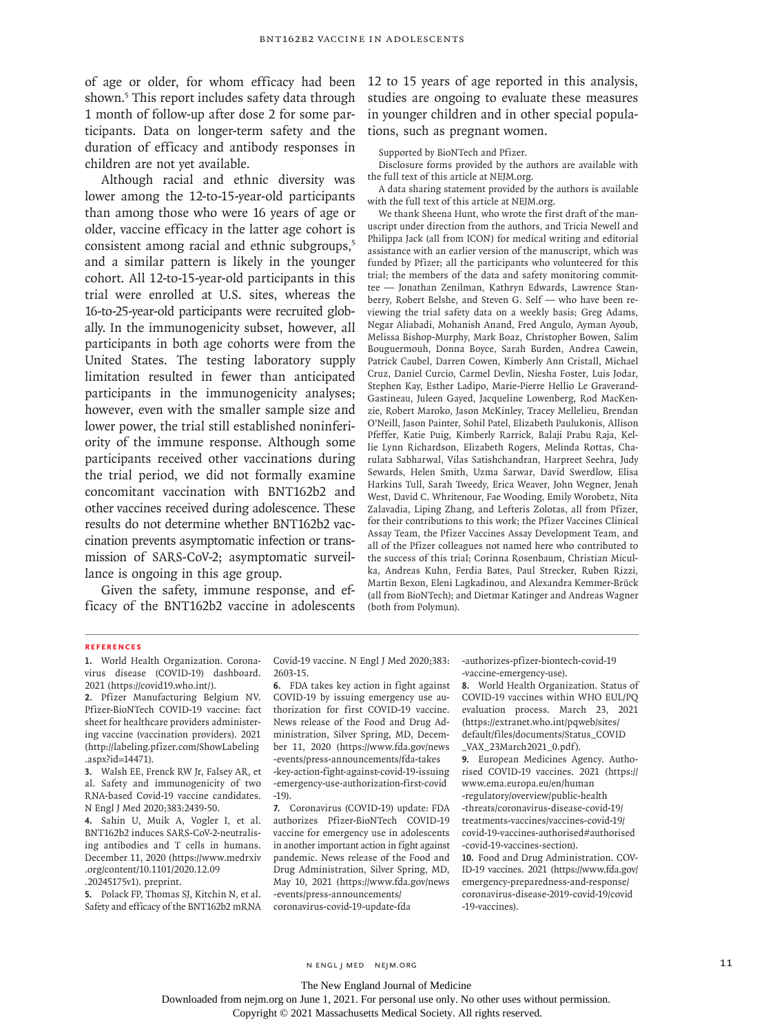of age or older, for whom efficacy had been 12 to 15 years of age reported in this analysis, shown.5 This report includes safety data through 1 month of follow-up after dose 2 for some participants. Data on longer-term safety and the duration of efficacy and antibody responses in children are not yet available.

Although racial and ethnic diversity was lower among the 12-to-15-year-old participants than among those who were 16 years of age or older, vaccine efficacy in the latter age cohort is consistent among racial and ethnic subgroups,<sup>5</sup> and a similar pattern is likely in the younger cohort. All 12-to-15-year-old participants in this trial were enrolled at U.S. sites, whereas the 16-to-25-year-old participants were recruited globally. In the immunogenicity subset, however, all participants in both age cohorts were from the United States. The testing laboratory supply limitation resulted in fewer than anticipated participants in the immunogenicity analyses; however, even with the smaller sample size and lower power, the trial still established noninferiority of the immune response. Although some participants received other vaccinations during the trial period, we did not formally examine concomitant vaccination with BNT162b2 and other vaccines received during adolescence. These results do not determine whether BNT162b2 vaccination prevents asymptomatic infection or transmission of SARS-CoV-2; asymptomatic surveillance is ongoing in this age group.

Given the safety, immune response, and efficacy of the BNT162b2 vaccine in adolescents studies are ongoing to evaluate these measures in younger children and in other special populations, such as pregnant women.

Supported by BioNTech and Pfizer.

Disclosure forms provided by the authors are available with the full text of this article at NEJM.org.

A data sharing statement provided by the authors is available with the full text of this article at NEJM.org.

We thank Sheena Hunt, who wrote the first draft of the manuscript under direction from the authors, and Tricia Newell and Philippa Jack (all from ICON) for medical writing and editorial assistance with an earlier version of the manuscript, which was funded by Pfizer; all the participants who volunteered for this trial; the members of the data and safety monitoring committee — Jonathan Zenilman, Kathryn Edwards, Lawrence Stanberry, Robert Belshe, and Steven G. Self — who have been reviewing the trial safety data on a weekly basis; Greg Adams, Negar Aliabadi, Mohanish Anand, Fred Angulo, Ayman Ayoub, Melissa Bishop-Murphy, Mark Boaz, Christopher Bowen, Salim Bouguermouh, Donna Boyce, Sarah Burden, Andrea Cawein, Patrick Caubel, Darren Cowen, Kimberly Ann Cristall, Michael Cruz, Daniel Curcio, Carmel Devlin, Niesha Foster, Luis Jodar, Stephen Kay, Esther Ladipo, Marie-Pierre Hellio Le Graverand-Gastineau, Juleen Gayed, Jacqueline Lowenberg, Rod MacKenzie, Robert Maroko, Jason McKinley, Tracey Mellelieu, Brendan O'Neill, Jason Painter, Sohil Patel, Elizabeth Paulukonis, Allison Pfeffer, Katie Puig, Kimberly Rarrick, Balaji Prabu Raja, Kellie Lynn Richardson, Elizabeth Rogers, Melinda Rottas, Charulata Sabharwal, Vilas Satishchandran, Harpreet Seehra, Judy Sewards, Helen Smith, Uzma Sarwar, David Swerdlow, Elisa Harkins Tull, Sarah Tweedy, Erica Weaver, John Wegner, Jenah West, David C. Whritenour, Fae Wooding, Emily Worobetz, Nita Zalavadia, Liping Zhang, and Lefteris Zolotas, all from Pfizer, for their contributions to this work; the Pfizer Vaccines Clinical Assay Team, the Pfizer Vaccines Assay Development Team, and all of the Pfizer colleagues not named here who contributed to the success of this trial; Corinna Rosenbaum, Christian Miculka, Andreas Kuhn, Ferdia Bates, Paul Strecker, Ruben Rizzi, Martin Bexon, Eleni Lagkadinou, and Alexandra Kemmer-Brück (all from BioNTech); and Dietmar Katinger and Andreas Wagner (both from Polymun).

## **References**

**1.** World Health Organization. Coronavirus disease (COVID-19) dashboard. 2021 (https://covid19.who.int/).

**2.** Pfizer Manufacturing Belgium NV. Pfizer-BioNTech COVID-19 vaccine: fact sheet for healthcare providers administering vaccine (vaccination providers). 2021 (http://labeling.pfizer.com/ShowLabeling .aspx?id=14471).

**3.** Walsh EE, Frenck RW Jr, Falsey AR, et al. Safety and immunogenicity of two RNA-based Covid-19 vaccine candidates. N Engl J Med 2020;383:2439-50.

**4.** Sahin U, Muik A, Vogler I, et al. BNT162b2 induces SARS-CoV-2-neutralising antibodies and T cells in humans. December 11, 2020 (https://www.medrxiv .org/content/10.1101/2020.12.09 .20245175v1). preprint.

**5.** Polack FP, Thomas SJ, Kitchin N, et al. Safety and efficacy of the BNT162b2 mRNA

Covid-19 vaccine. N Engl J Med 2020;383: 2603-15.

**6.** FDA takes key action in fight against COVID-19 by issuing emergency use authorization for first COVID-19 vaccine. News release of the Food and Drug Administration, Silver Spring, MD, December 11, 2020 (https://www.fda.gov/news -events/press-announcements/fda-takes -key-action-fight-against-covid-19-issuing -emergency-use-authorization-first-covid -19).

**7.** Coronavirus (COVID-19) update: FDA authorizes Pfizer-BioNTech COVID-19 vaccine for emergency use in adolescents in another important action in fight against pandemic. News release of the Food and Drug Administration, Silver Spring, MD, May 10, 2021 (https://www.fda.gov/news -events/press-announcements/ coronavirus-covid-19-update-fda

-authorizes-pfizer-biontech-covid-19 -vaccine-emergency-use).

**8.** World Health Organization. Status of COVID-19 vaccines within WHO EUL/PQ evaluation process. March 23, 2021 (https://extranet.who.int/pqweb/sites/ default/files/documents/Status\_COVID \_VAX\_23March2021\_0.pdf).

**9.** European Medicines Agency. Authorised COVID-19 vaccines. 2021 (https:// www.ema.europa.eu/en/human -regulatory/overview/public-health -threats/coronavirus-disease-covid-19/ treatments-vaccines/vaccines-covid-19/ covid-19-vaccines-authorised#authorised -covid-19-vaccines-section).

**10.** Food and Drug Administration. COV-ID-19 vaccines. 2021 (https://www.fda.gov/ emergency-preparedness-and-response/ coronavirus-disease-2019-covid-19/covid -19-vaccines).

The New England Journal of Medicine

Downloaded from nejm.org on June 1, 2021. For personal use only. No other uses without permission.